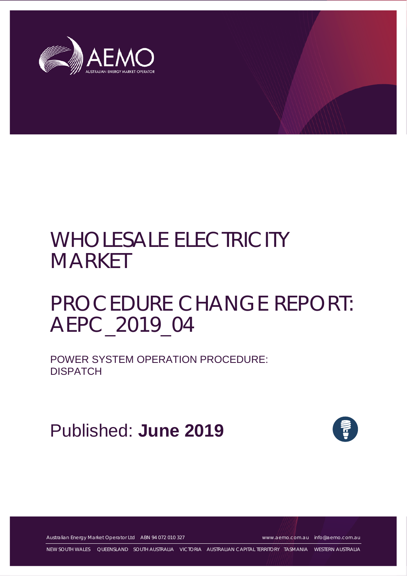

# WHOLESALE ELECTRICITY **MARKET**

## PROCEDURE CHANGE REPORT: AEPC\_2019\_04

POWER SYSTEM OPERATION PROCEDURE: **DISPATCH** 

Published: **June 2019**



Australian Energy Market Operator Ltd ABN 94 072 010 327 [www.aemo.com.au](http://www.aemo.com.au/) [info@aemo.com.au](mailto:info@aemo.com.au)

NEW SOUTH WALES QUEENSLAND SOUTH AUSTRALIA VICTORIA AUSTRALIAN CAPITAL TERRITORY TASMANIA WESTERN AUSTRALIA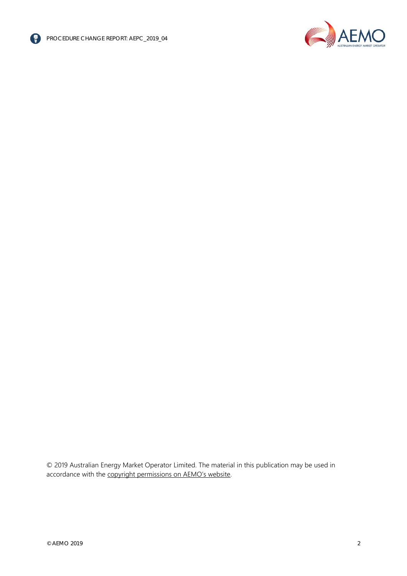



© 2019 Australian Energy Market Operator Limited. The material in this publication may be used in accordance with the [copyright permissions on AEMO's website.](http://aemo.com.au/Privacy_and_Legal_Notices/Copyright_Permissions_Notice)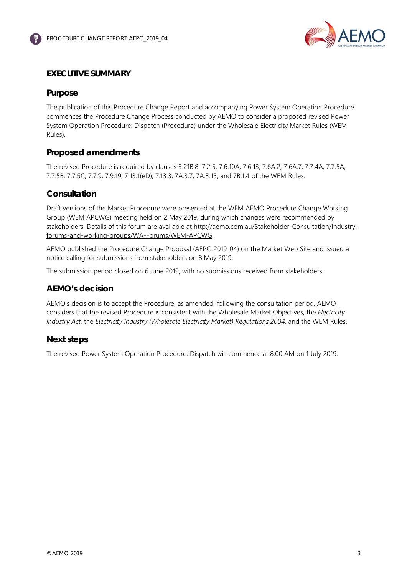

## <span id="page-2-0"></span>**EXECUTIVE SUMMARY**

## <span id="page-2-1"></span>**Purpose**

The publication of this Procedure Change Report and accompanying Power System Operation Procedure commences the Procedure Change Process conducted by AEMO to consider a proposed revised Power System Operation Procedure: Dispatch (Procedure) under the Wholesale Electricity Market Rules (WEM Rules).

## <span id="page-2-2"></span>**Proposed amendments**

The revised Procedure is required by clauses 3.21B.8, 7.2.5, 7.6.10A, 7.6.13, 7.6A.2, 7.6A.7, 7.7.4A, 7.7.5A, 7.7.5B, 7.7.5C, 7.7.9, 7.9.19, 7.13.1(eD), 7.13.3, 7A.3.7, 7A.3.15, and 7B.1.4 of the WEM Rules.

### <span id="page-2-3"></span>**Consultation**

Draft versions of the Market Procedure were presented at the WEM AEMO Procedure Change Working Group (WEM APCWG) meeting held on 2 May 2019, during which changes were recommended by stakeholders. Details of this forum are available at [http://aemo.com.au/Stakeholder-Consultation/Industry](http://aemo.com.au/Stakeholder-Consultation/Industry-forums-and-working-groups/WA-Forums/WEM-APCWG)[forums-and-working-groups/WA-Forums/WEM-APCWG.](http://aemo.com.au/Stakeholder-Consultation/Industry-forums-and-working-groups/WA-Forums/WEM-APCWG)

AEMO published the Procedure Change Proposal (AEPC\_2019\_04) on the Market Web Site and issued a notice calling for submissions from stakeholders on 8 May 2019.

The submission period closed on 6 June 2019, with no submissions received from stakeholders.

#### <span id="page-2-4"></span>**AEMO's decision**

AEMO's decision is to accept the Procedure, as amended, following the consultation period. AEMO considers that the revised Procedure is consistent with the Wholesale Market Objectives, the *Electricity Industry Act*, the *Electricity Industry (Wholesale Electricity Market) Regulations 2004*, and the WEM Rules.

#### <span id="page-2-5"></span>**Next steps**

The revised Power System Operation Procedure: Dispatch will commence at 8:00 AM on 1 July 2019.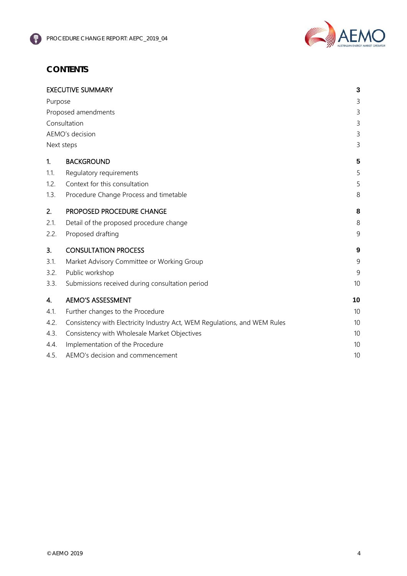

## **CONTENTS**

|                     | <b>EXECUTIVE SUMMARY</b>                                                  | 3  |
|---------------------|---------------------------------------------------------------------------|----|
| Purpose             |                                                                           |    |
| Proposed amendments |                                                                           |    |
| Consultation        |                                                                           |    |
| AEMO's decision     |                                                                           | 3  |
|                     | Next steps                                                                | 3  |
| 1.                  | <b>BACKGROUND</b>                                                         | 5  |
| 1.1.                | Regulatory requirements                                                   | 5  |
| 1.2.                | Context for this consultation                                             | 5  |
| 1.3.                | Procedure Change Process and timetable                                    | 8  |
| 2.                  | PROPOSED PROCEDURE CHANGE                                                 | 8  |
| 2.1.                | Detail of the proposed procedure change                                   | 8  |
| 2.2.                | Proposed drafting                                                         | 9  |
| 3.                  | <b>CONSULTATION PROCESS</b>                                               | 9  |
| 3.1.                | Market Advisory Committee or Working Group                                | 9  |
| 3.2.                | Public workshop                                                           | 9  |
| 3.3.                | Submissions received during consultation period                           | 10 |
| 4.                  | <b>AEMO'S ASSESSMENT</b>                                                  | 10 |
| 4.1.                | Further changes to the Procedure                                          | 10 |
| 4.2.                | Consistency with Electricity Industry Act, WEM Regulations, and WEM Rules | 10 |
| 4.3.                | Consistency with Wholesale Market Objectives                              | 10 |
| 4.4.                | Implementation of the Procedure                                           | 10 |
| 4.5.                | AEMO's decision and commencement                                          | 10 |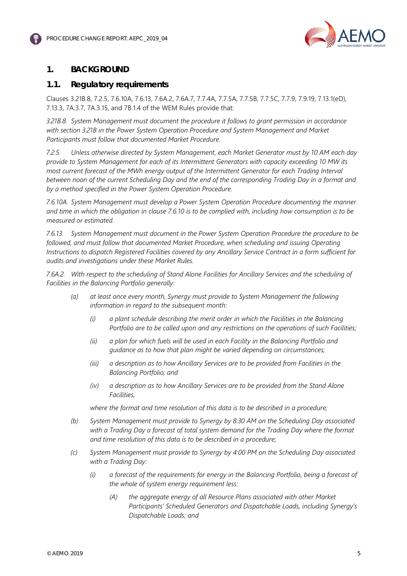

## <span id="page-4-0"></span>**1. BACKGROUND**

### <span id="page-4-1"></span>**1.1. Regulatory requirements**

<span id="page-4-2"></span>Clauses 3.21B.8, 7.2.5, 7.6.10A, 7.6.13, 7.6A.2, 7.6A.7, 7.7.4A, 7.7.5A, 7.7.5B, 7.7.5C, 7.7.9, 7.9.19, 7.13.1(eD), 7.13.3, 7A.3.7, 7A.3.15, and 7B.1.4 of the WEM Rules provide that:

*3.21B.8. System Management must document the procedure it follows to grant permission in accordance with section 3.21B in the Power System Operation Procedure and System Management and Market Participants must follow that documented Market Procedure.*

*7.2.5. Unless otherwise directed by System Management, each Market Generator must by 10 AM each day provide to System Management for each of its Intermittent Generators with capacity exceeding 10 MW its most current forecast of the MWh energy output of the Intermittent Generator for each Trading Interval between noon of the current Scheduling Day and the end of the corresponding Trading Day in a format and by a method specified in the Power System Operation Procedure.*

*7.6.10A. System Management must develop a Power System Operation Procedure documenting the manner and time in which the obligation in clause 7.6.10 is to be complied with, including how consumption is to be measured or estimated.*

*7.6.13. System Management must document in the Power System Operation Procedure the procedure to be*  followed, and must follow that documented Market Procedure, when scheduling and issuing Operating *Instructions to dispatch Registered Facilities covered by any Ancillary Service Contract in a form sufficient for audits and investigations under these Market Rules.*

*7.6A.2. With respect to the scheduling of Stand Alone Facilities for Ancillary Services and the scheduling of Facilities in the Balancing Portfolio generally:*

- *(a) at least once every month, Synergy must provide to System Management the following information in regard to the subsequent month:*
	- *(i) a plant schedule describing the merit order in which the Facilities in the Balancing Portfolio are to be called upon and any restrictions on the operations of such Facilities;*
	- *(ii) a plan for which fuels will be used in each Facility in the Balancing Portfolio and guidance as to how that plan might be varied depending on circumstances;*
	- *(iii) a description as to how Ancillary Services are to be provided from Facilities in the Balancing Portfolio; and*
	- *(iv) a description as to how Ancillary Services are to be provided from the Stand Alone Facilities,*

*where the format and time resolution of this data is to be described in a procedure;*

- *(b) System Management must provide to Synergy by 8:30 AM on the Scheduling Day associated with a Trading Day a forecast of total system demand for the Trading Day where the format and time resolution of this data is to be described in a procedure;*
- *(c) System Management must provide to Synergy by 4:00 PM on the Scheduling Day associated with a Trading Day:* 
	- *(i) a forecast of the requirements for energy in the Balancing Portfolio, being a forecast of the whole of system energy requirement less:*
		- *(A) the aggregate energy of all Resource Plans associated with other Market Participants' Scheduled Generators and Dispatchable Loads, including Synergy's Dispatchable Loads; and*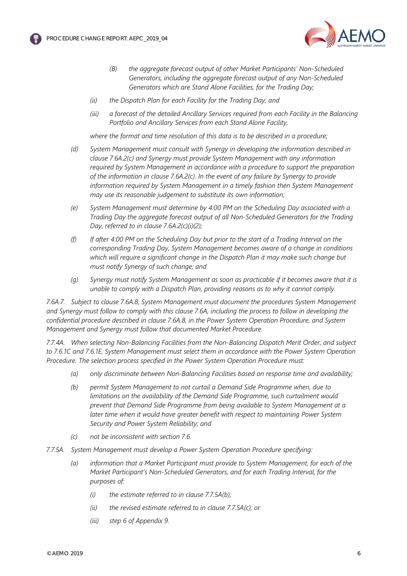

- *(B) the aggregate forecast output of other Market Participants' Non-Scheduled Generators, including the aggregate forecast output of any Non-Scheduled Generators which are Stand Alone Facilities, for the Trading Day;*
- *(ii) the Dispatch Plan for each Facility for the Trading Day; and*
- *(iii) a forecast of the detailed Ancillary Services required from each Facility in the Balancing Portfolio and Ancillary Services from each Stand Alone Facility,*

*where the format and time resolution of this data is to be described in a procedure;*

- *(d) System Management must consult with Synergy in developing the information described in clause 7.6A.2(c) and Synergy must provide System Management with any information required by System Management in accordance with a procedure to support the preparation of the information in clause 7.6A.2(c). In the event of any failure by Synergy to provide information required by System Management in a timely fashion then System Management may use its reasonable judgement to substitute its own information;*
- *(e) System Management must determine by 4:00 PM on the Scheduling Day associated with a Trading Day the aggregate forecast output of all Non-Scheduled Generators for the Trading Day, referred to in clause 7.6A.2(c)(i)(2);*
- *(f) If after 4:00 PM on the Scheduling Day but prior to the start of a Trading Interval on the corresponding Trading Day, System Management becomes aware of a change in conditions which will require a significant change in the Dispatch Plan it may make such change but must notify Synergy of such change; and*
- *(g) Synergy must notify System Management as soon as practicable if it becomes aware that it is unable to comply with a Dispatch Plan, providing reasons as to why it cannot comply.*

*7.6A.7. Subject to clause 7.6A.8, System Management must document the procedures System Management and Synergy must follow to comply with this clause 7.6A, including the process to follow in developing the confidential procedure described in clause 7.6A.8, in the Power System Operation Procedure, and System Management and Synergy must follow that documented Market Procedure.*

*7.7.4A. When selecting Non-Balancing Facilities from the Non-Balancing Dispatch Merit Order, and subject to 7.6.1C and 7.6.1E, System Management must select them in accordance with the Power System Operation Procedure. The selection process specified in the Power System Operation Procedure must:*

- *(a) only discriminate between Non-Balancing Facilities based on response time and availability;*
- *(b) permit System Management to not curtail a Demand Side Programme when, due to limitations on the availability of the Demand Side Programme, such curtailment would prevent that Demand Side Programme from being available to System Management at a later time when it would have greater benefit with respect to maintaining Power System Security and Power System Reliability; and*
- *(c) not be inconsistent with section 7.6.*
- *7.7.5A. System Management must develop a Power System Operation Procedure specifying:*
	- *(a) information that a Market Participant must provide to System Management, for each of the Market Participant's Non-Scheduled Generators, and for each Trading Interval, for the purposes of:*
		- *(i) the estimate referred to in clause 7.7.5A(b);*
		- *(ii) the revised estimate referred to in clause 7.7.5A(c); or*
		- *(iii) step 6 of Appendix 9.*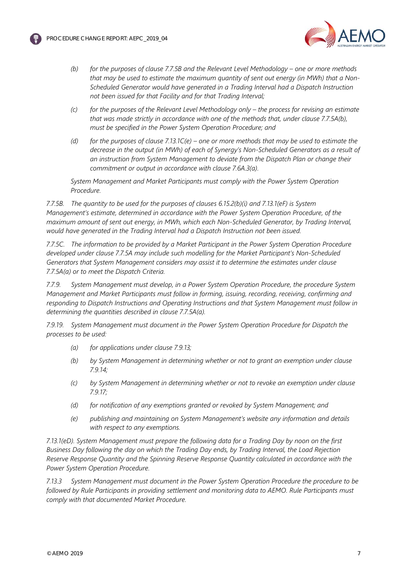



- *(b) for the purposes of clause 7.7.5B and the Relevant Level Methodology – one or more methods that may be used to estimate the maximum quantity of sent out energy (in MWh) that a Non-Scheduled Generator would have generated in a Trading Interval had a Dispatch Instruction not been issued for that Facility and for that Trading Interval;*
- *(c) for the purposes of the Relevant Level Methodology only – the process for revising an estimate that was made strictly in accordance with one of the methods that, under clause 7.7.5A(b), must be specified in the Power System Operation Procedure; and*
- *(d) for the purposes of clause 7.13.1C(e) – one or more methods that may be used to estimate the decrease in the output (in MWh) of each of Synergy's Non-Scheduled Generators as a result of an instruction from System Management to deviate from the Dispatch Plan or change their commitment or output in accordance with clause 7.6A.3(a).*

*System Management and Market Participants must comply with the Power System Operation Procedure.*

*7.7.5B. The quantity to be used for the purposes of clauses 6.15.2(b)(i) and 7.13.1(eF) is System Management's estimate, determined in accordance with the Power System Operation Procedure, of the maximum amount of sent out energy, in MWh, which each Non-Scheduled Generator, by Trading Interval, would have generated in the Trading Interval had a Dispatch Instruction not been issued.*

*7.7.5C. The information to be provided by a Market Participant in the Power System Operation Procedure developed under clause 7.7.5A may include such modelling for the Market Participant's Non-Scheduled Generators that System Management considers may assist it to determine the estimates under clause 7.7.5A(a) or to meet the Dispatch Criteria.*

*7.7.9. System Management must develop, in a Power System Operation Procedure, the procedure System Management and Market Participants must follow in forming, issuing, recording, receiving, confirming and responding to Dispatch Instructions and Operating Instructions and that System Management must follow in determining the quantities described in clause 7.7.5A(a).*

*7.9.19. System Management must document in the Power System Operation Procedure for Dispatch the processes to be used:*

- *(a) for applications under clause 7.9.13;*
- *(b) by System Management in determining whether or not to grant an exemption under clause 7.9.14;*
- *(c) by System Management in determining whether or not to revoke an exemption under clause 7.9.17;*
- *(d) for notification of any exemptions granted or revoked by System Management; and*
- *(e) publishing and maintaining on System Management's website any information and details with respect to any exemptions.*

*7.13.1(eD). System Management must prepare the following data for a Trading Day by noon on the first Business Day following the day on which the Trading Day ends, by Trading Interval, the Load Rejection Reserve Response Quantity and the Spinning Reserve Response Quantity calculated in accordance with the Power System Operation Procedure.*

*7.13.3 System Management must document in the Power System Operation Procedure the procedure to be followed by Rule Participants in providing settlement and monitoring data to AEMO. Rule Participants must comply with that documented Market Procedure.*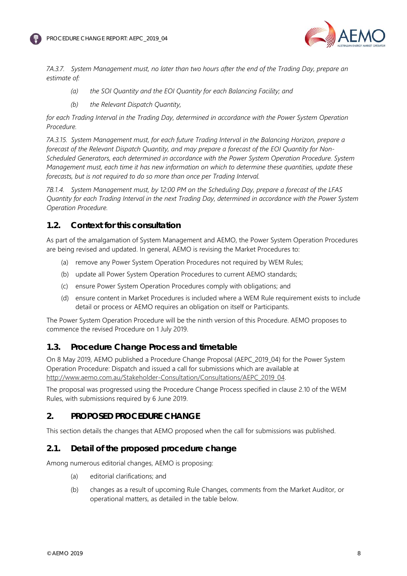



*7A.3.7. System Management must, no later than two hours after the end of the Trading Day, prepare an estimate of:*

- *(a) the SOI Quantity and the EOI Quantity for each Balancing Facility; and*
- *(b) the Relevant Dispatch Quantity,*

*for each Trading Interval in the Trading Day, determined in accordance with the Power System Operation Procedure.*

*7A.3.15. System Management must, for each future Trading Interval in the Balancing Horizon, prepare a forecast of the Relevant Dispatch Quantity, and may prepare a forecast of the EOI Quantity for Non-Scheduled Generators, each determined in accordance with the Power System Operation Procedure. System Management must, each time it has new information on which to determine these quantities, update these forecasts, but is not required to do so more than once per Trading Interval.*

*7B.1.4. System Management must, by 12:00 PM on the Scheduling Day, prepare a forecast of the LFAS Quantity for each Trading Interval in the next Trading Day, determined in accordance with the Power System Operation Procedure.*

## **1.2. Context for this consultation**

As part of the amalgamation of System Management and AEMO, the Power System Operation Procedures are being revised and updated. In general, AEMO is revising the Market Procedures to:

- (a) remove any Power System Operation Procedures not required by WEM Rules;
- (b) update all Power System Operation Procedures to current AEMO standards;
- (c) ensure Power System Operation Procedures comply with obligations; and
- (d) ensure content in Market Procedures is included where a WEM Rule requirement exists to include detail or process or AEMO requires an obligation on itself or Participants.

The Power System Operation Procedure will be the ninth version of this Procedure. AEMO proposes to commence the revised Procedure on 1 July 2019.

## <span id="page-7-0"></span>**1.3. Procedure Change Process and timetable**

On 8 May 2019, AEMO published a Procedure Change Proposal (AEPC\_2019\_04) for the Power System Operation Procedure: Dispatch and issued a call for submissions which are available at [http://www.aemo.com.au/Stakeholder-Consultation/Consultations/AEPC\\_2019\\_04.](http://www.aemo.com.au/Stakeholder-Consultation/Consultations/AEPC_2019_04) 

The proposal was progressed using the Procedure Change Process specified in clause 2.10 of the WEM Rules, with submissions required by 6 June 2019.

## <span id="page-7-1"></span>**2. PROPOSED PROCEDURE CHANGE**

This section details the changes that AEMO proposed when the call for submissions was published.

## <span id="page-7-2"></span>**2.1. Detail of the proposed procedure change**

Among numerous editorial changes, AEMO is proposing:

- (a) editorial clarifications; and
- (b) changes as a result of upcoming Rule Changes, comments from the Market Auditor, or operational matters, as detailed in the table below.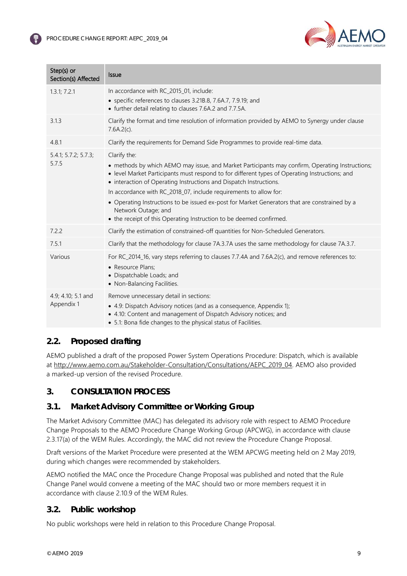

| $Step(s)$ or<br>Section(s) Affected | <b>Issue</b>                                                                                                                                                                                                                                                                                                                                                                                                                                                                                                                                                |
|-------------------------------------|-------------------------------------------------------------------------------------------------------------------------------------------------------------------------------------------------------------------------------------------------------------------------------------------------------------------------------------------------------------------------------------------------------------------------------------------------------------------------------------------------------------------------------------------------------------|
| 1.3.1; 7.2.1                        | In accordance with RC_2015_01, include:<br>• specific references to clauses 3.21B.8, 7.6A.7, 7.9.19; and<br>• further detail relating to clauses 7.6A.2 and 7.7.5A.                                                                                                                                                                                                                                                                                                                                                                                         |
| 3.1.3                               | Clarify the format and time resolution of information provided by AEMO to Synergy under clause<br>7.6A.2(c).                                                                                                                                                                                                                                                                                                                                                                                                                                                |
| 4.8.1                               | Clarify the requirements for Demand Side Programmes to provide real-time data.                                                                                                                                                                                                                                                                                                                                                                                                                                                                              |
| 5.4.1; 5.7.2; 5.7.3;<br>5.7.5       | Clarify the:<br>• methods by which AEMO may issue, and Market Participants may confirm, Operating Instructions;<br>• level Market Participants must respond to for different types of Operating Instructions; and<br>• interaction of Operating Instructions and Dispatch Instructions.<br>In accordance with RC_2018_07, include requirements to allow for:<br>• Operating Instructions to be issued ex-post for Market Generators that are constrained by a<br>Network Outage; and<br>• the receipt of this Operating Instruction to be deemed confirmed. |
| 7.2.2                               | Clarify the estimation of constrained-off quantities for Non-Scheduled Generators.                                                                                                                                                                                                                                                                                                                                                                                                                                                                          |
| 7.5.1                               | Clarify that the methodology for clause 7A.3.7A uses the same methodology for clause 7A.3.7.                                                                                                                                                                                                                                                                                                                                                                                                                                                                |
| Various                             | For RC_2014_16, vary steps referring to clauses 7.7.4A and 7.6A.2(c), and remove references to:<br>• Resource Plans:<br>· Dispatchable Loads; and<br>• Non-Balancing Facilities.                                                                                                                                                                                                                                                                                                                                                                            |
| 4.9; 4.10; 5.1 and<br>Appendix 1    | Remove unnecessary detail in sections:<br>• 4.9: Dispatch Advisory notices (and as a consequence, Appendix 1);<br>• 4.10: Content and management of Dispatch Advisory notices; and<br>• 5.1: Bona fide changes to the physical status of Facilities.                                                                                                                                                                                                                                                                                                        |

## <span id="page-8-0"></span>**2.2. Proposed drafting**

AEMO published a draft of the proposed Power System Operations Procedure: Dispatch, which is available at [http://www.aemo.com.au/Stakeholder-Consultation/Consultations/AEPC\\_2019\\_04.](http://www.aemo.com.au/Stakeholder-Consultation/Consultations/AEPC_2019_04) AEMO also provided a marked-up version of the revised Procedure.

## <span id="page-8-1"></span>**3. CONSULTATION PROCESS**

## <span id="page-8-2"></span>**3.1. Market Advisory Committee or Working Group**

The Market Advisory Committee (MAC) has delegated its advisory role with respect to AEMO Procedure Change Proposals to the AEMO Procedure Change Working Group (APCWG), in accordance with clause 2.3.17(a) of the WEM Rules. Accordingly, the MAC did not review the Procedure Change Proposal.

Draft versions of the Market Procedure were presented at the WEM APCWG meeting held on 2 May 2019, during which changes were recommended by stakeholders.

AEMO notified the MAC once the Procedure Change Proposal was published and noted that the Rule Change Panel would convene a meeting of the MAC should two or more members request it in accordance with clause 2.10.9 of the WEM Rules.

## <span id="page-8-3"></span>**3.2. Public workshop**

No public workshops were held in relation to this Procedure Change Proposal.